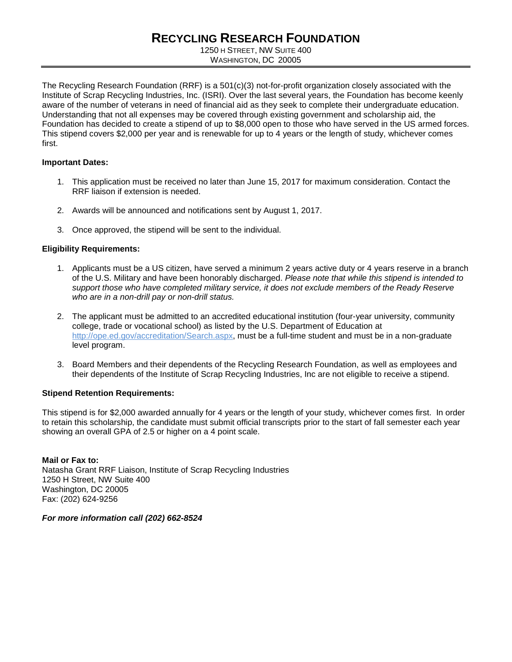# **RECYCLING RESEARCH FOUNDATION**

1250 H STREET, NW SUITE 400 WASHINGTON, DC 20005

The Recycling Research Foundation (RRF) is a 501(c)(3) not-for-profit organization closely associated with the Institute of Scrap Recycling Industries, Inc. (ISRI). Over the last several years, the Foundation has become keenly aware of the number of veterans in need of financial aid as they seek to complete their undergraduate education. Understanding that not all expenses may be covered through existing government and scholarship aid, the Foundation has decided to create a stipend of up to \$8,000 open to those who have served in the US armed forces. This stipend covers \$2,000 per year and is renewable for up to 4 years or the length of study, whichever comes first.

#### **Important Dates:**

- 1. This application must be received no later than June 15, 2017 for maximum consideration. Contact the RRF liaison if extension is needed.
- 2. Awards will be announced and notifications sent by August 1, 2017.
- 3. Once approved, the stipend will be sent to the individual.

## **Eligibility Requirements:**

- 1. Applicants must be a US citizen, have served a minimum 2 years active duty or 4 years reserve in a branch of the U.S. Military and have been honorably discharged. *Please note that while this stipend is intended to support those who have completed military service, it does not exclude members of the Ready Reserve who are in a non-drill pay or non-drill status.*
- 2. The applicant must be admitted to an accredited educational institution (four-year university, community college, trade or vocational school) as listed by the U.S. Department of Education at [http://ope.ed.gov/accreditation/Search.aspx,](http://ope.ed.gov/accreditation/Search.aspx) must be a full-time student and must be in a non-graduate level program.
- 3. Board Members and their dependents of the Recycling Research Foundation, as well as employees and their dependents of the Institute of Scrap Recycling Industries, Inc are not eligible to receive a stipend.

## **Stipend Retention Requirements:**

This stipend is for \$2,000 awarded annually for 4 years or the length of your study, whichever comes first. In order to retain this scholarship, the candidate must submit official transcripts prior to the start of fall semester each year showing an overall GPA of 2.5 or higher on a 4 point scale.

**Mail or Fax to:** Natasha Grant RRF Liaison, Institute of Scrap Recycling Industries 1250 H Street, NW Suite 400 Washington, DC 20005 Fax: (202) 624-9256

*For more information call (202) 662-8524*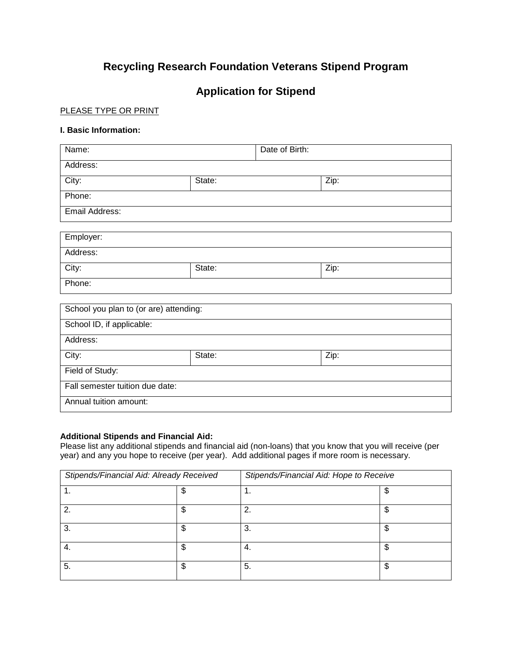## **Recycling Research Foundation Veterans Stipend Program**

## **Application for Stipend**

## PLEASE TYPE OR PRINT

## **I. Basic Information:**

| Name:          |        | Date of Birth: |      |  |  |  |
|----------------|--------|----------------|------|--|--|--|
| Address:       |        |                |      |  |  |  |
| City:          | State: |                | Zip: |  |  |  |
| Phone:         |        |                |      |  |  |  |
| Email Address: |        |                |      |  |  |  |
|                |        |                |      |  |  |  |
| Employer:      |        |                |      |  |  |  |
| Address:       |        |                |      |  |  |  |
| City:          | State: |                | Zip: |  |  |  |
| Phone:         |        |                |      |  |  |  |

| School you plan to (or are) attending: |        |      |  |  |  |
|----------------------------------------|--------|------|--|--|--|
| School ID, if applicable:              |        |      |  |  |  |
| Address:                               |        |      |  |  |  |
| City:                                  | State: | Zip: |  |  |  |
| Field of Study:                        |        |      |  |  |  |
| Fall semester tuition due date:        |        |      |  |  |  |
| Annual tuition amount:                 |        |      |  |  |  |

### **Additional Stipends and Financial Aid:**

Please list any additional stipends and financial aid (non-loans) that you know that you will receive (per year) and any you hope to receive (per year). Add additional pages if more room is necessary.

| Stipends/Financial Aid: Already Received |   | Stipends/Financial Aid: Hope to Receive |    |  |
|------------------------------------------|---|-----------------------------------------|----|--|
|                                          |   |                                         | \$ |  |
| 2                                        |   | 2.                                      | \$ |  |
| 3.                                       |   | 3                                       |    |  |
| -4.                                      |   | 4.                                      | S  |  |
| -5.                                      | œ | 5.                                      | S  |  |